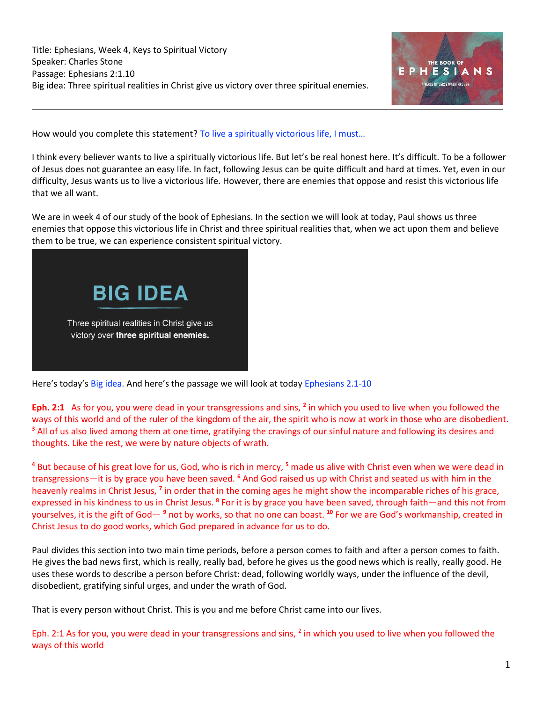

How would you complete this statement? To live a spiritually victorious life, I must...

I think every believer wants to live a spiritually victorious life. But let's be real honest here. It's difficult. To be a follower of Jesus does not guarantee an easy life. In fact, following Jesus can be quite difficult and hard at times. Yet, even in our difficulty, Jesus wants us to live a victorious life. However, there are enemies that oppose and resist this victorious life that we all want.

We are in week 4 of our study of the book of Ephesians. In the section we will look at today, Paul shows us three enemies that oppose this victorious life in Christ and three spiritual realities that, when we act upon them and believe them to be true, we can experience consistent spiritual victory.



Here's today's Big idea. And here's the passage we will look at today Ephesians 2.1-10

Eph. 2:1 As for you, you were dead in your transgressions and sins, <sup>2</sup> in which you used to live when you followed the ways of this world and of the ruler of the kingdom of the air, the spirit who is now at work in those who are disobedient. **<sup>3</sup>** All of us also lived among them at one time, gratifying the cravings of our sinful nature and following its desires and thoughts. Like the rest, we were by nature objects of wrath.

**<sup>4</sup>** But because of his great love for us, God, who is rich in mercy, **<sup>5</sup>** made us alive with Christ even when we were dead in transgressions—it is by grace you have been saved. **<sup>6</sup>** And God raised us up with Christ and seated us with him in the heavenly realms in Christ Jesus, **<sup>7</sup>** in order that in the coming ages he might show the incomparable riches of his grace, expressed in his kindness to us in Christ Jesus. <sup>8</sup> For it is by grace you have been saved, through faith—and this not from yourselves, it is the gift of God— **<sup>9</sup>** not by works, so that no one can boast. **<sup>10</sup>** For we are God's workmanship, created in Christ Jesus to do good works, which God prepared in advance for us to do.

Paul divides this section into two main time periods, before a person comes to faith and after a person comes to faith. He gives the bad news first, which is really, really bad, before he gives us the good news which is really, really good. He uses these words to describe a person before Christ: dead, following worldly ways, under the influence of the devil, disobedient, gratifying sinful urges, and under the wrath of God.

That is every person without Christ. This is you and me before Christ came into our lives.

Eph. 2:1 As for you, you were dead in your transgressions and sins,  $^2$  in which you used to live when you followed the ways of this world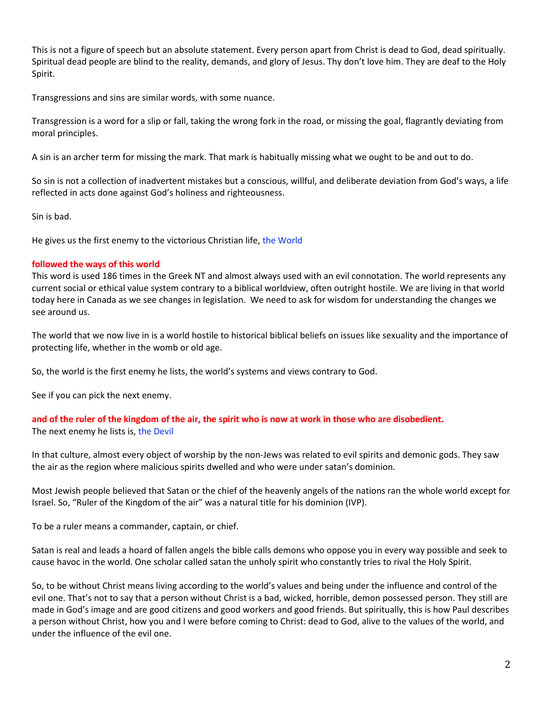This is not a figure of speech but an absolute statement. Every person apart from Christ is dead to God, dead spiritually. Spiritual dead people are blind to the reality, demands, and glory of Jesus. Thy don't love him. They are deaf to the Holy Spirit.

Transgressions and sins are similar words, with some nuance.

Transgression is a word for a slip or fall, taking the wrong fork in the road, or missing the goal, flagrantly deviating from moral principles.

A sin is an archer term for missing the mark. That mark is habitually missing what we ought to be and out to do.

So sin is not a collection of inadvertent mistakes but a conscious, willful, and deliberate deviation from God's ways, a life reflected in acts done against God's holiness and righteousness.

Sin is bad.

He gives us the first enemy to the victorious Christian life, the World

#### **followed the ways of this world**

This word is used 186 times in the Greek NT and almost always used with an evil connotation. The world represents any current social or ethical value system contrary to a biblical worldview, often outright hostile. We are living in that world today here in Canada as we see changes in legislation. We need to ask for wisdom for understanding the changes we see around us.

The world that we now live in is a world hostile to historical biblical beliefs on issues like sexuality and the importance of protecting life, whether in the womb or old age.

So, the world is the first enemy he lists, the world's systems and views contrary to God.

See if you can pick the next enemy.

**and of the ruler of the kingdom of the air, the spirit who is now at work in those who are disobedient.** The next enemy he lists is, the Devil

In that culture, almost every object of worship by the non-Jews was related to evil spirits and demonic gods. They saw the air as the region where malicious spirits dwelled and who were under satan's dominion.

Most Jewish people believed that Satan or the chief of the heavenly angels of the nations ran the whole world except for Israel. So, "Ruler of the Kingdom of the air" was a natural title for his dominion (IVP).

To be a ruler means a commander, captain, or chief.

Satan is real and leads a hoard of fallen angels the bible calls demons who oppose you in every way possible and seek to cause havoc in the world. One scholar called satan the unholy spirit who constantly tries to rival the Holy Spirit.

So, to be without Christ means living according to the world's values and being under the influence and control of the evil one. That's not to say that a person without Christ is a bad, wicked, horrible, demon possessed person. They still are made in God's image and are good citizens and good workers and good friends. But spiritually, this is how Paul describes a person without Christ, how you and I were before coming to Christ: dead to God, alive to the values of the world, and under the influence of the evil one.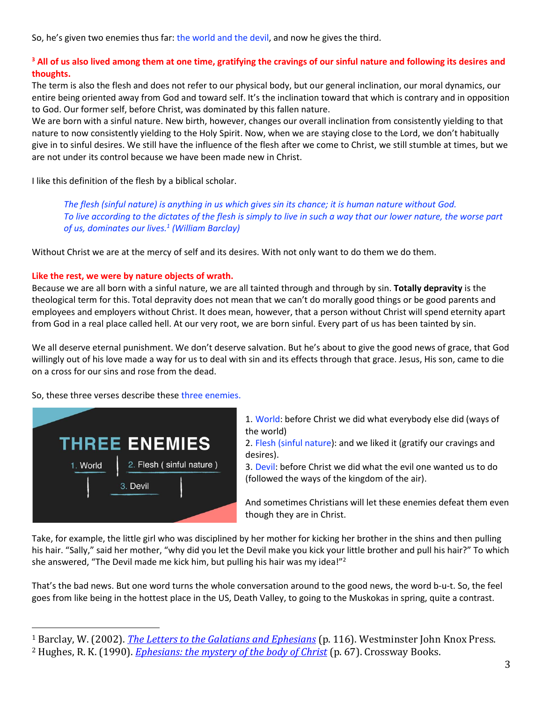So, he's given two enemies thus far: the world and the devil, and now he gives the third.

## **<sup>3</sup> All of us also lived among them at one time, gratifying the cravings of our sinful nature and following its desires and thoughts.**

The term is also the flesh and does not refer to our physical body, but our general inclination, our moral dynamics, our entire being oriented away from God and toward self. It's the inclination toward that which is contrary and in opposition to God. Our former self, before Christ, was dominated by this fallen nature.

We are born with a sinful nature. New birth, however, changes our overall inclination from consistently yielding to that nature to now consistently yielding to the Holy Spirit. Now, when we are staying close to the Lord, we don't habitually give in to sinful desires. We still have the influence of the flesh after we come to Christ, we still stumble at times, but we are not under its control because we have been made new in Christ.

I like this definition of the flesh by a biblical scholar.

*The flesh (sinful nature) is anything in us which gives sin its chance; it is human nature without God. To live according to the dictates of the flesh is simply to live in such a way that our lower nature, the worse part of us, dominates our lives.<sup>1</sup> (William Barclay)*

Without Christ we are at the mercy of self and its desires. With not only want to do them we do them.

### **Like the rest, we were by nature objects of wrath.**

Because we are all born with a sinful nature, we are all tainted through and through by sin. **Totally depravity** is the theological term for this. Total depravity does not mean that we can't do morally good things or be good parents and employees and employers without Christ. It does mean, however, that a person without Christ will spend eternity apart from God in a real place called hell. At our very root, we are born sinful. Every part of us has been tainted by sin.

We all deserve eternal punishment. We don't deserve salvation. But he's about to give the good news of grace, that God willingly out of his love made a way for us to deal with sin and its effects through that grace. Jesus, His son, came to die on a cross for our sins and rose from the dead.

So, these three verses describe these three enemies.



1. World: before Christ we did what everybody else did (ways of the world)

2. Flesh (sinful nature): and we liked it (gratify our cravings and desires).

3. Devil: before Christ we did what the evil one wanted us to do (followed the ways of the kingdom of the air).

And sometimes Christians will let these enemies defeat them even though they are in Christ.

Take, for example, the little girl who was disciplined by her mother for kicking her brother in the shins and then pulling his hair. "Sally," said her mother, "why did you let the Devil make you kick your little brother and pull his hair?" To which she answered, "The Devil made me kick him, but pulling his hair was my idea!"<sup>2</sup>

That's the bad news. But one word turns the whole conversation around to the good news, the word b-u-t. So, the feel goes from like being in the hottest place in the US, Death Valley, to going to the Muskokas in spring, quite a contrast.

<sup>1</sup> Barclay, W. (2002). *[The Letters to the Galatians and Ephesians](https://ref.ly/logosres/ndsb69gal?ref=Bible.Eph2.1-3&off=12392&ctx=+have+been+avoided.+~The+flesh+is+anythin)* (p. 116). Westminster John Knox Press. <sup>2</sup> Hughes, R. K. (1990). *[Ephesians: the mystery of the body of Christ](https://ref.ly/logosres/prwdeph?ref=Bible.Eph2.1&off=5624&ctx=ed+from+within+too.+~Take%2c+for+example%2c+t)* (p. 67). Crossway Books.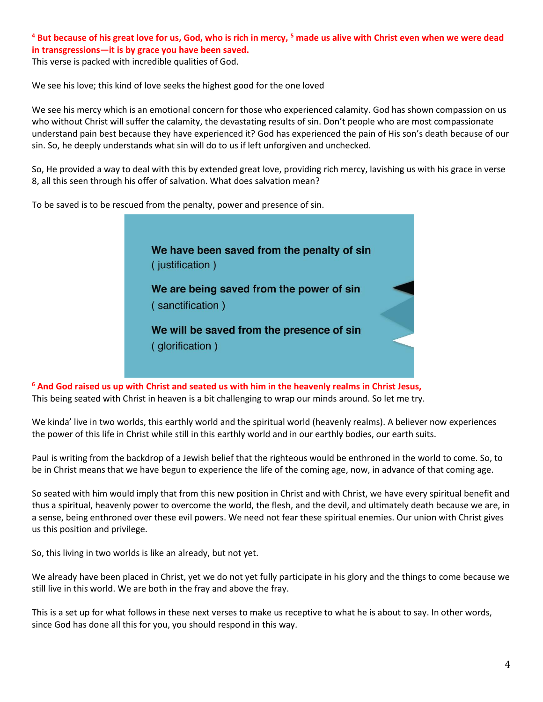# **<sup>4</sup> But because of his great love for us, God, who is rich in mercy, <sup>5</sup> made us alive with Christ even when we were dead in transgressions—it is by grace you have been saved.**

This verse is packed with incredible qualities of God.

We see his love; this kind of love seeks the highest good for the one loved

We see his mercy which is an emotional concern for those who experienced calamity. God has shown compassion on us who without Christ will suffer the calamity, the devastating results of sin. Don't people who are most compassionate understand pain best because they have experienced it? God has experienced the pain of His son's death because of our sin. So, he deeply understands what sin will do to us if left unforgiven and unchecked.

So, He provided a way to deal with this by extended great love, providing rich mercy, lavishing us with his grace in verse 8, all this seen through his offer of salvation. What does salvation mean?

To be saved is to be rescued from the penalty, power and presence of sin.



**<sup>6</sup> And God raised us up with Christ and seated us with him in the heavenly realms in Christ Jesus,**  This being seated with Christ in heaven is a bit challenging to wrap our minds around. So let me try.

We kinda' live in two worlds, this earthly world and the spiritual world (heavenly realms). A believer now experiences the power of this life in Christ while still in this earthly world and in our earthly bodies, our earth suits.

Paul is writing from the backdrop of a Jewish belief that the righteous would be enthroned in the world to come. So, to be in Christ means that we have begun to experience the life of the coming age, now, in advance of that coming age.

So seated with him would imply that from this new position in Christ and with Christ, we have every spiritual benefit and thus a spiritual, heavenly power to overcome the world, the flesh, and the devil, and ultimately death because we are, in a sense, being enthroned over these evil powers. We need not fear these spiritual enemies. Our union with Christ gives us this position and privilege.

So, this living in two worlds is like an already, but not yet.

We already have been placed in Christ, yet we do not yet fully participate in his glory and the things to come because we still live in this world. We are both in the fray and above the fray.

This is a set up for what follows in these next verses to make us receptive to what he is about to say. In other words, since God has done all this for you, you should respond in this way.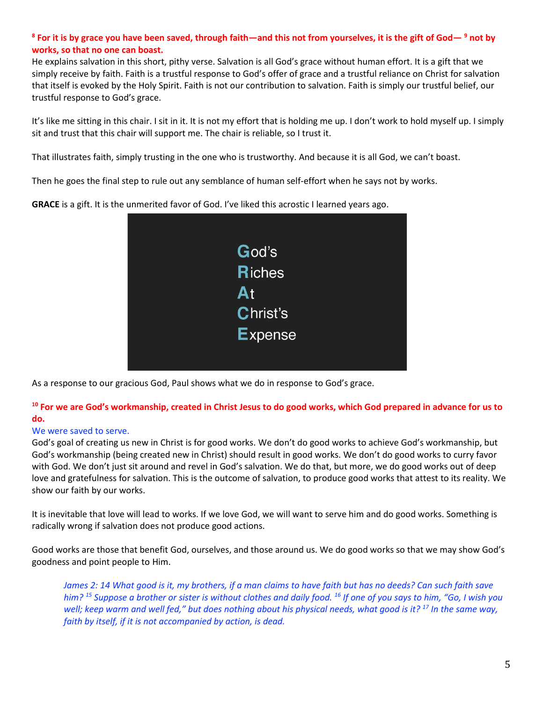### **8 For it is by grace you have been saved, through faith—and this not from yourselves, it is the gift of God— <sup>9</sup> not by works, so that no one can boast.**

He explains salvation in this short, pithy verse. Salvation is all God's grace without human effort. It is a gift that we simply receive by faith. Faith is a trustful response to God's offer of grace and a trustful reliance on Christ for salvation that itself is evoked by the Holy Spirit. Faith is not our contribution to salvation. Faith is simply our trustful belief, our trustful response to God's grace.

It's like me sitting in this chair. I sit in it. It is not my effort that is holding me up. I don't work to hold myself up. I simply sit and trust that this chair will support me. The chair is reliable, so I trust it.

That illustrates faith, simply trusting in the one who is trustworthy. And because it is all God, we can't boast.

Then he goes the final step to rule out any semblance of human self-effort when he says not by works.

**GRACE** is a gift. It is the unmerited favor of God. I've liked this acrostic I learned years ago.



As a response to our gracious God, Paul shows what we do in response to God's grace.

### **<sup>10</sup> For we are God's workmanship, created in Christ Jesus to do good works, which God prepared in advance for us to do.**

### We were saved to serve.

God's goal of creating us new in Christ is for good works. We don't do good works to achieve God's workmanship, but God's workmanship (being created new in Christ) should result in good works. We don't do good works to curry favor with God. We don't just sit around and revel in God's salvation. We do that, but more, we do good works out of deep love and gratefulness for salvation. This is the outcome of salvation, to produce good works that attest to its reality. We show our faith by our works.

It is inevitable that love will lead to works. If we love God, we will want to serve him and do good works. Something is radically wrong if salvation does not produce good actions.

Good works are those that benefit God, ourselves, and those around us. We do good works so that we may show God's goodness and point people to Him.

*James 2: 14 What good is it, my brothers, if a man claims to have faith but has no deeds? Can such faith save him? <sup>15</sup> Suppose a brother or sister is without clothes and daily food. <sup>16</sup> If one of you says to him, "Go, I wish you well; keep warm and well fed," but does nothing about his physical needs, what good is it? <sup>17</sup> In the same way, faith by itself, if it is not accompanied by action, is dead.*